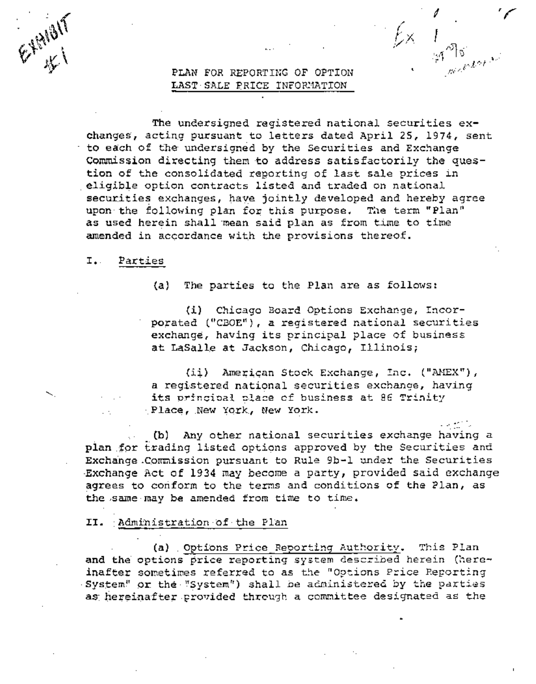

# PLAN FOR REPORTING OF OPTION LAST SALE PRICE INFORMATION

The undersigned registered national securities exchanges, acting pursuant to letters dated April 25, 1974, sent to each of the undersigned by the Securities and Exchange Commission directing them to address satisfactorily the question of the consolidated reporting of last sale prices in eligible option contracts listed and traded on national securities exchanges, haye jointly developed and hereby agree upon the following plan for this purpose. The term "Plan" as used herein shail mean said plan as from time to time amended in accordance with the provisions thereof.

**/** "f

## I. Parties

+

(a) The parties to the Plan are as follows:

(i) Chicago Board Options EXchange, Incorporated ("CBOE"), a registered national securities exchange, having its principal place ef business at LaSalle at Jackson, Chicago, Illinois;

 $(i)$  American Stock Exchange, Inc. ("AMEX"), a registered national securities exchange, having its principal place of business at 86 Trinity : Place, New York, New York.

(b) Any other national securities exchange having a plan for trading listed options approved by the Securities and Exchange Commission pursuant to Rule 9b-1 under the Securities ~Exchange Act of 1934 may become a party, provided said exchange agrees to conform to the terms and conditions of the Plan, as the ,same may be amended from time to time.

 $\mathcal{P}(\mathcal{P})$  . The set of the set of the set of the set of the set of the set of the set of the set of the set of the set of the set of the set of the set of the set of the set of the set of the set of the set of the se

II. Administration of the Plan

(a) Options Price Reporting Authority. This Plan and the options price reporting system described herein (hereinafter sometimes referred to as the "Options Price Reporting System" or the "System") shall be administered by the parties as hereinafter provided through a committee designated as the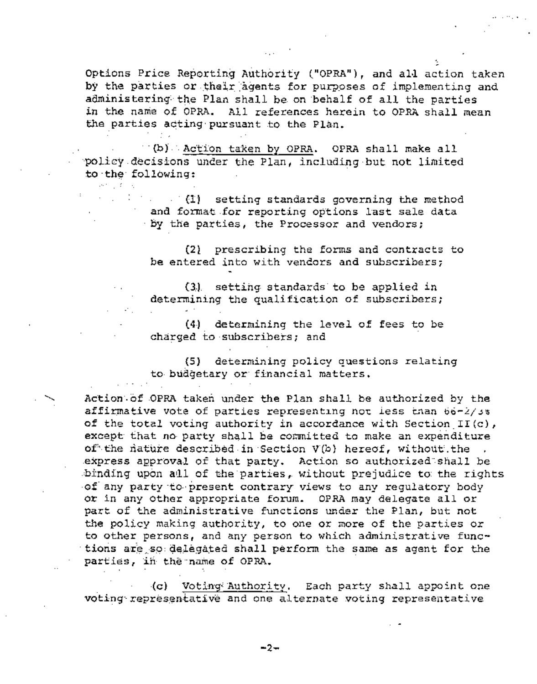Options Price Reporting Authority ("OPRA"), and all action taken by the parties or their agents for purposes of implementing and administering the Plan shall be on behalf of all the parties in the name of OPRA. All references herein to OPRA shall mean the parties acting pursuant to the Plan.

(b) Action taken by OPRA. OPRA shall make all policy decisions under the Plan, including but not limited to the following:

Service Products

(1) setting standards governing the method and format for reporting options last sale data by the parties, the Processor and vendors;

(2) prescribing the forms and contracts to be entered into with vendors and subscribers;

(3) setting standards to be applied in determining the qualification of subscribers;

(4) determining the level of fees to be charged to subscribers; and

(5) determining policy questions relating to budgetary or financial matters.

Action of OPRA taken under the Plan shall be authorized by the affirmative vote of parties representing not less than 66-2/3% of the total voting authority in accordance with Section II(c), except that no party shall be committed to make an expenditure of the nature described in Section V(b) hereof, without the express approval of that party. Action so authorized shall be binding upon all of the parties, without prejudice to the rights of any party to present contrary views to any regulatory body or in any other appropriate forum. OPRA may delegate all or part of the administrative functions under the Plan, but not the policy making authority, to one or more of the parties or to other persons, and any person to which administrative functions are so delegated shall perform the same as agent for the parties, in the name of OPRA.

 $\langle c \rangle$ Voting Authority. Each party shall appoint one voting representative and one alternate voting representative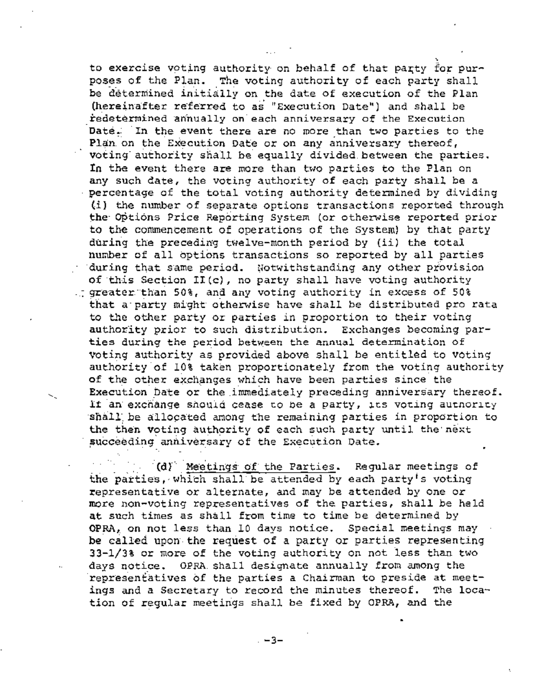to exercise voting authority on behalf of that party for purposes of the Plan. The voting authority of each party shall be determined initially on the date of execution of the Plan (hereinafter referred to as "Execution Date") and shall be redetermined annually on each anniversary of the Execution Date. In the event there are no more than two parties to the Plan on the Execution Date or on any anniversary thereof, voting authority shall be equally divided between the parties. In the event there are more than two parties to the Plan on any such date, the voting authority of each party shall be a percentage of the total voting authority determined by dividing (i) the number of separate options transactions reported through the-options Price Reporting System (or otherwise reported prior to the commencement of operations of the System) by that party during the precedin'g twelve-month period by (ii) the total number of all options transactions so reported by all parties during that same period. Notwithstanding any other provision of this Section II(c), no party shall have voting authority . greater than 50%, and any voting authority in excess of 50% that a party might otherwise have shall be distributed pro rata to the other party or parties in proportion to their voting authority prior to such distribution. Exchanges becoming parties during the period between the annual determination of voting authority as provided above shall be entitled to voting authority of 10% taken proportionately from the voting authority of the other exchanges which have been parties since the Execution Date or the immediately preceding anniversary thereof. If an exchange should cease to be a party, its voting authority shall be allocated among the remaining parties in proportion to the then voting authority of each such party until the next succeeding anniversary of the Execution Date.

(d) Meetings of the Parties. Regular meetings of the parties, which shall be attended by each party's voting representative or alternate, and may be attended by one or more non-voting representatives of the parties, shall be held at such times as shall from time to time be determined by  $OPRA$ , on not less than 10 days notice. Special meetings may be called upon the request of a party or parties representing 33-1/3% or more of the voting authority on not less than two days notice. OPRA shall designate annually from among the representatives 0f the parties a Chairman to preside at meetings and a Secretary to record the minutes thereof. The location of regular meetings shall be fixed by OPRA, and the

**9 --3--**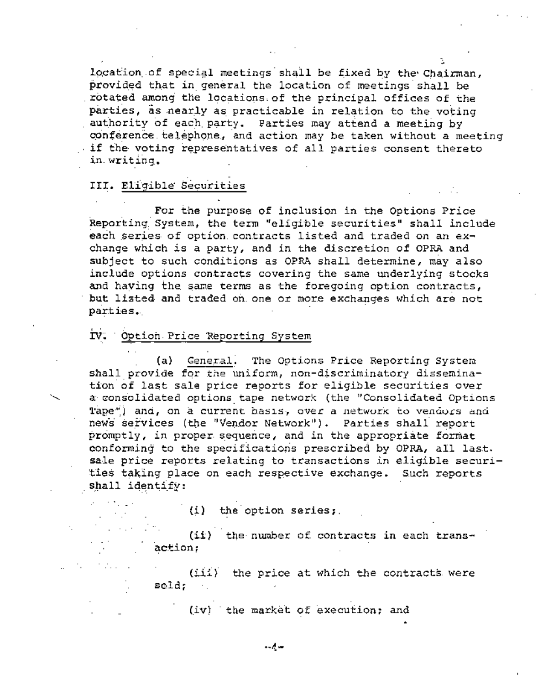location of special meetings shall be fixed by the Chairman, provided that in general the location of meetings shall be rotated among the locations of the principal offices of the parties, as nearly as practicable in relation to the voting authority of each party. Parties may attend a meeting by conference telephone, and action may be taken without a meeting if the voting representatives of all parties consent thereto in writing.

### III. Eligible Securities

For the purpose of inclusion in the Options Price Reporting System, the term "eligible securities" shall include each series of option contracts listed and traded on an exchange which is a party, and in the discretion of OPRA and subject to such conditions as OPRA shall determine, may also include options contracts covering the same underlying stocks and having the same terms as the foregoing option contracts, but listed and traded on one or more exchanges which are not parties.

## IV. Option Price Reporting System

General. The Options Price Reporting System  $(a)$ shall provide for the uniform, non-discriminatory dissemination of last sale price reports for eligible securities over a consolidated options tape network (the "Consolidated Options Tape") and, on a current basis, over a network to vendors and news services (the "Vendor Network"). Parties shall report promptly, in proper sequence, and in the appropriate format conforming to the specifications prescribed by OPRA, all last. sale price reports relating to transactions in eligible securities taking place on each respective exchange. Such reports shall identify:

(i) the option series:

 $(ii)$  the number of contracts in each transaction;

 $(iii)$  the price at which the contracts were  ${scale}$ 

(iv) the market of execution; and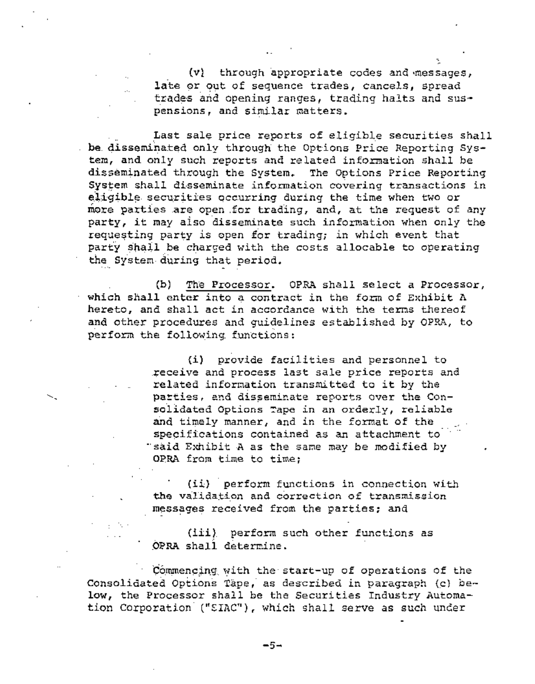$(v)$  through appropriate codes and messages, late or out of sequence trades, cancels, spread trades and opening ranges, trading halts and suspensions, and similar matters.

Last sale price reports of eligible securities shall  $b$  be disseminated only through the Options Price Reporting System, and only Such reports and related information shall be disseminated through the System. The Options Price Reporting System shall disseminate information covering transactions in eligible securities occurring during the time when two or more parties are open for trading, and, at the request of any party, it may also. disseminate such information when only the requesting party is open for trading; in which event that party shall be charged with the costs allocable to operating the System during that period.

(b) The Frocessor. OPRA shall select a Processor, which shall enter into a contract in the form of Exhibit  $\Lambda$ hereto, and shall act in accordance with the terms thereof and other procedures and guidelines established by OPRA, to Perform the following functions:

> (i) provide facilities and personnel to receive and process last sale price reports and related information transmitted to it by the parties, and disseminate reports over the Consolidated Options Tape in an orderly, reliable and timely manner, and in the format of the specifications contained as an attachment to "said Exhibit A as the same may be modified by OPRA from time to time;

(ii) perform functions in connection with the validation and correction of transmission messages received from the parties; and

(iii). Perform such other functions as QPRA shall determine.

?

Commencing with the start-up of operations of the Consolidated Options Tape, as described in paragraph (c) below, the Processor shall be the Securities Industry Automation Corporation ["SIAC"), which shall serve as such under

 $-5-$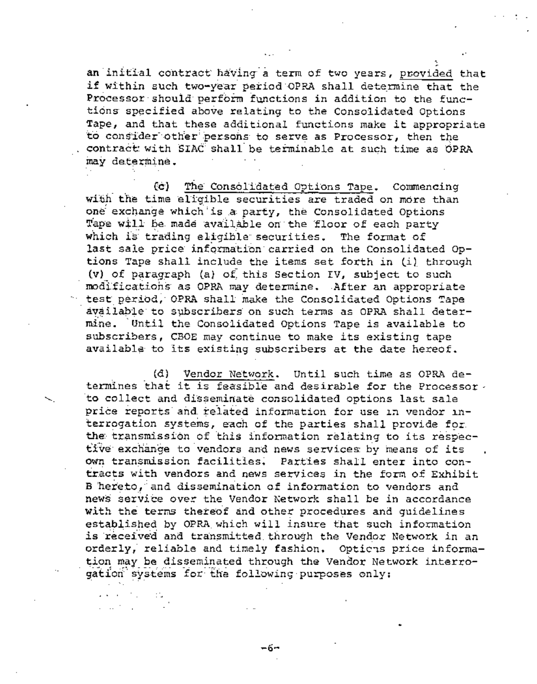an initial contract having a term of two years, provided that if within such two-year period OPRA shall determine that the Processor should perform functions in addition to the functions specified above relating to the Consolidated Options Tape, and that these additional functions make it appropriate to consider other persons to serve as Processor, then the contract with SIAC shall be terminable at such time as OPRA may determine.

 $(c)$ The Consolidated Options Tape. Commencing with the time eligible securities are traded on more than one exchange which is a party, the Consolidated Options Tape will be made available on the floor of each party which is trading eligible securities. The format of last sale price information carried on the Consolidated Options Tape shall include the items set forth in (i) through (v) of paragraph (a) of this Section IV, subject to such modifications as OPRA may determine. After an appropriate test period, OPRA shall make the Consolidated Options Tape available to subscribers on such terms as OPRA shall determine. Until the Consolidated Options Tape is available to subscribers, CBOE may continue to make its existing tape available to its existing subscribers at the date hereof.

(d) Vendor Network. Until such time as OPRA determines that it is feasible and desirable for the Processor. to collect and disseminate consolidated options last sale price reports and related information for use in vendor interrogation systems, each of the parties shall provide for. the transmission of this information relating to its respective exchange to vendors and news services by means of its own transmission facilities. Parties shall enter into contracts with vendors and news services in the form of Exhibit B hereto, and dissemination of information to vendors and news service over the Vendor Network shall be in accordance with the terms thereof and other procedures and guidelines established by OPRA which will insure that such information is received and transmitted through the Vendor Network in an orderly, reliable and timely fashion. Options price information may be disseminated through the Vendor Network interrogation systems for the following purposes only:

-6-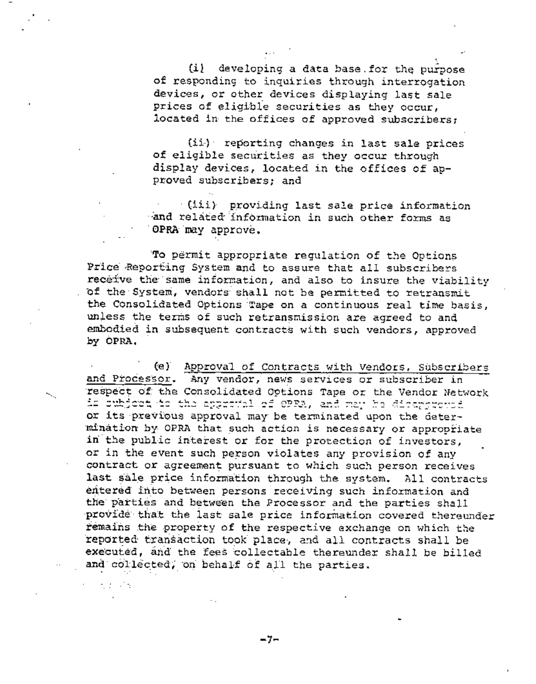(i) developing a data base for the purpose of responding to inquiries through interrogation devices, or other devices displaying last sale prices of eligible securities as they occur. located in the offices of approved subscribers;

(ii) reporting changes in last sale prices of eligible securities as they occur through display devices, located in the offices of approved subscribers: and

(iii) providing last sale price information and related information in such other forms as OPRA may approve.

To permit appropriate regulation of the Options Price Reporting System and to assure that all subscribers receive the same information, and also to insure the viability of the System, vendors shall not be permitted to retransmit the Consolidated Options Tape on a continuous real time basis, unless the terms of such retransmission are agreed to and embodied in subsequent contracts with such vendors, approved by OPRA.

(e) Approval of Contracts with Vendors, Subscribers and Processor. Any vendor, news services or subscriber in respect of the Consolidated Options Tape or the Vendor Network is subject to the approval of OPPA, and may be dicapproved or its previous approval may be terminated upon the determination by OPRA that such action is necessary or appropriate in the public interest or for the protection of investors, or in the event such person violates any provision of any contract or agreement pursuant to which such person receives last sale price information through the system. All contracts entered into between persons receiving such information and the parties and between the Processor and the parties shall provide that the last sale price information covered thereunder remains the property of the respective exchange on which the reported transaction took place, and all contracts shall be executed, and the fees collectable thereunder shall be billed and collected, on behalf of all the parties.

ーフー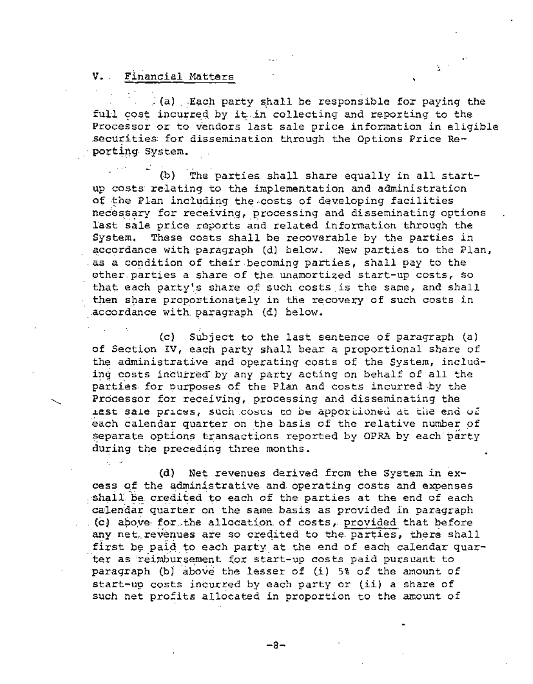#### Financial Matters  $V_{\rm{max}}$

 $\sim$ 

 $/(a)$  Each party shall be responsible for paying the full cost incurred by it in collecting and reporting to the Processor Or to vendors last sale price information in eligible securities for dissemination through the Options Price Reporting System.

~.. o"

 $(b)$  The parties shall share equally in all startup costs relating to the implementation and administration of the Plan including the costs of developing facilities necessary for receiving, processing and disseminating options last sale price reports and related information through the System. These costs shall be recoverable by the parties in accordance with paragraph (d) below. New parties to the Plan, as a condition of their becoming parties, shall pay to the other parties a share of the unamortized start-up costs, so that each party's share of such costs is the same, and shall then share proportionately in the recovery of such costs in accordance with paragraph (d) below.

(c) Subject to the last sentence of paragraph (a) of Section IV, each party shall bear a proportional share of the administrative and operating costs of the System, including costs incurred by any party acting on behalf of all the parties for purposes of the Plan and costs incurred by the Processor for receiving, processing and disseminating the  $r$ ast sale prices, such costs to be apportioned at the end of each calendar quarter on the basis of the relative number of separate options transactions reported by OPRA by each party during the preceding three months.

(d) Net revenues derived from the System in excess of the administrative and operating costs and expenses shall be credited to each of the parties at the end of each calendar quarter on the same basis as provided in paragraph . (c) above for the allocation of costs, provided that before any net revenues are so credited to the parties, there shall first be paid to each party at the end of each calendar quarter as reimbursement for start-up costs paid pursuant to paragraph (b) above the lesser of (i) 5% of the amount of start-up costs incurred by each party or (ii) a share of such net profits allocated in proportion to the amount of

**--8--**